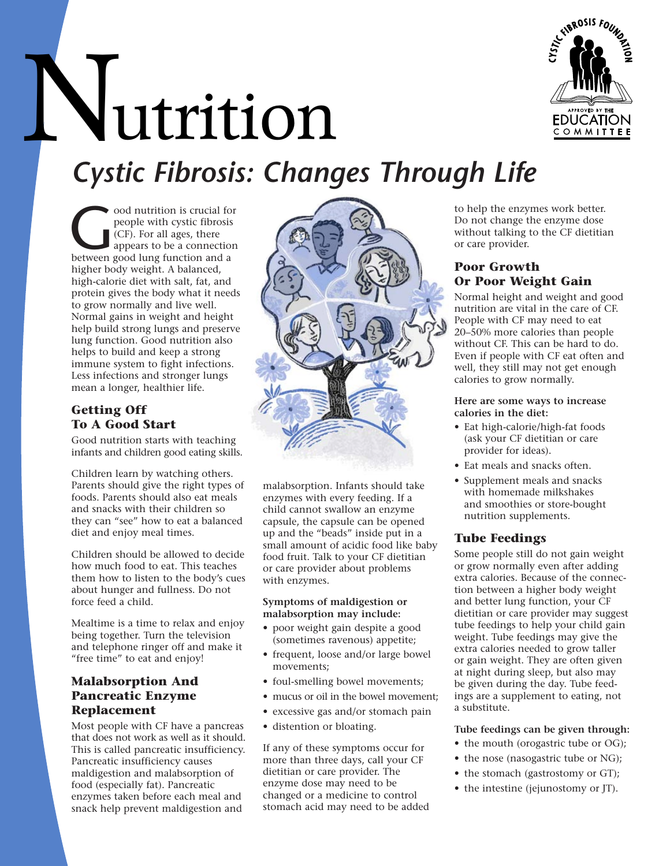

# Nutrition *Cystic Fibrosis: Changes Through Life*

appears to be a connection between good lung function and a

infants and children good eating skills.

Children learn by watching others. Parents should give the right types of foods. Parents should also eat meals and snacks with their children so they can "see" how to eat a balanced diet and enjoy meal times.

Children should be allowed to decide how much food to eat. This teaches them how to listen to the body's cues about hunger and fullness. Do not force feed a child.

Mealtime is a time to relax and enjoy being together. Turn the television and telephone ringer off and make it "free time" to eat and enjoy!

## **Malabsorption And Pancreatic Enzyme Replacement**

Most people with CF have a pancreas that does not work as well as it should. This is called pancreatic insufficiency. Pancreatic insufficiency causes maldigestion and malabsorption of food (especially fat). Pancreatic enzymes taken before each meal and snack help prevent maldigestion and



malabsorption. Infants should take enzymes with every feeding. If a child cannot swallow an enzyme capsule, the capsule can be opened up and the "beads" inside put in a small amount of acidic food like baby food fruit. Talk to your CF dietitian or care provider about problems with enzymes.

### **Symptoms of maldigestion or malabsorption may include:**

- poor weight gain despite a good (sometimes ravenous) appetite;
- frequent, loose and/or large bowel movements;
- foul-smelling bowel movements;
- mucus or oil in the bowel movement:
- excessive gas and/or stomach pain
- distention or bloating.

If any of these symptoms occur for more than three days, call your CF dietitian or care provider. The enzyme dose may need to be changed or a medicine to control stomach acid may need to be added without talking to the CF dietitian<br>or care provider.

- 
- Eat meals and snacks often.
- Supplement meals and snacks with homemade milkshakes and smoothies or store-bought nutrition supplements.

# **Tube Feedings**

Some people still do not gain weight or grow normally even after adding extra calories. Because of the connection between a higher body weight and better lung function, your CF dietitian or care provider may suggest tube feedings to help your child gain weight. Tube feedings may give the extra calories needed to grow taller or gain weight. They are often given at night during sleep, but also may be given during the day. Tube feedings are a supplement to eating, not a substitute.

## **Tube feedings can be given through:**

- the mouth (orogastric tube or OG);
- the nose (nasogastric tube or NG);
- the stomach (gastrostomy or GT);
- the intestine (jejunostomy or JT).